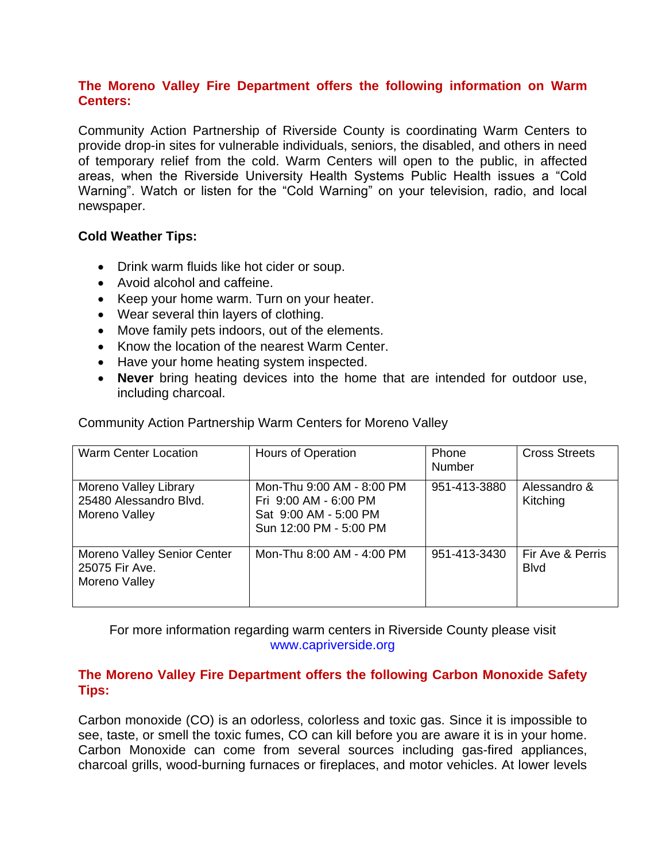#### **The Moreno Valley Fire Department offers the following information on Warm Centers:**

Community Action Partnership of Riverside County is coordinating Warm Centers to provide drop-in sites for vulnerable individuals, seniors, the disabled, and others in need of temporary relief from the cold. Warm Centers will open to the public, in affected areas, when the Riverside University Health Systems Public Health issues a "Cold Warning". Watch or listen for the "Cold Warning" on your television, radio, and local newspaper.

#### **Cold Weather Tips:**

- Drink warm fluids like hot cider or soup.
- Avoid alcohol and caffeine.
- Keep your home warm. Turn on your heater.
- Wear several thin layers of clothing.
- Move family pets indoors, out of the elements.
- Know the location of the nearest Warm Center.
- Have your home heating system inspected.
- **Never** bring heating devices into the home that are intended for outdoor use, including charcoal.

Warm Center Location | Hours of Operation | Phone Number Cross Streets Moreno Valley Library 25480 Alessandro Blvd. Moreno Valley Mon-Thu 9:00 AM - 8:00 PM Fri 9:00 AM - 6:00 PM Sat 9:00 AM - 5:00 PM Sun 12:00 PM - 5:00 PM 951-413-3880 | Alessandro & Kitching Moreno Valley Senior Center 25075 Fir Ave. Moreno Valley Mon-Thu 8:00 AM - 4:00 PM  $\parallel$  951-413-3430 Fir Ave & Perris Blvd

Community Action Partnership Warm Centers for Moreno Valley

For more information regarding warm centers in Riverside County please visit www.capriverside.org

## **The Moreno Valley Fire Department offers the following Carbon Monoxide Safety Tips:**

Carbon monoxide (CO) is an odorless, colorless and toxic gas. Since it is impossible to see, taste, or smell the toxic fumes, CO can kill before you are aware it is in your home. Carbon Monoxide can come from several sources including gas-fired appliances, charcoal grills, wood-burning furnaces or fireplaces, and motor vehicles. At lower levels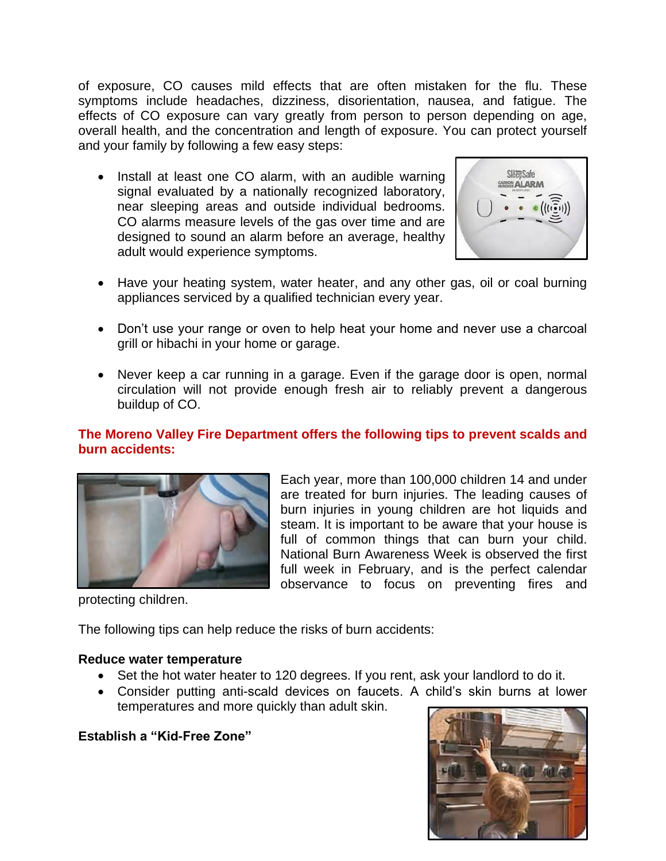of exposure, CO causes mild effects that are often mistaken for the flu. These symptoms include headaches, dizziness, disorientation, nausea, and fatigue. The effects of CO exposure can vary greatly from person to person depending on age, overall health, and the concentration and length of exposure. You can protect yourself and your family by following a few easy steps:

• Install at least one CO alarm, with an audible warning signal evaluated by a nationally recognized laboratory, near sleeping areas and outside individual bedrooms. CO alarms measure levels of the gas over time and are designed to sound an alarm before an average, healthy adult would experience symptoms.



- Have your heating system, water heater, and any other gas, oil or coal burning appliances serviced by a qualified technician every year.
- Don't use your range or oven to help heat your home and never use a charcoal grill or hibachi in your home or garage.
- Never keep a car running in a garage. Even if the garage door is open, normal circulation will not provide enough fresh air to reliably prevent a dangerous buildup of CO.

## **The Moreno Valley Fire Department offers the following tips to prevent scalds and burn accidents:**



Each year, more than 100,000 children 14 and under are treated for burn injuries. The leading causes of burn injuries in young children are hot liquids and steam. It is important to be aware that your house is full of common things that can burn your child. National Burn Awareness Week is observed the first full week in February, and is the perfect calendar observance to focus on preventing fires and

protecting children.

The following tips can help reduce the risks of burn accidents:

#### **Reduce water temperature**

- Set the hot water heater to 120 degrees. If you rent, ask your landlord to do it.
- Consider putting anti-scald devices on faucets. A child's skin burns at lower temperatures and more quickly than adult skin.

#### **Establish a "Kid-Free Zone"**

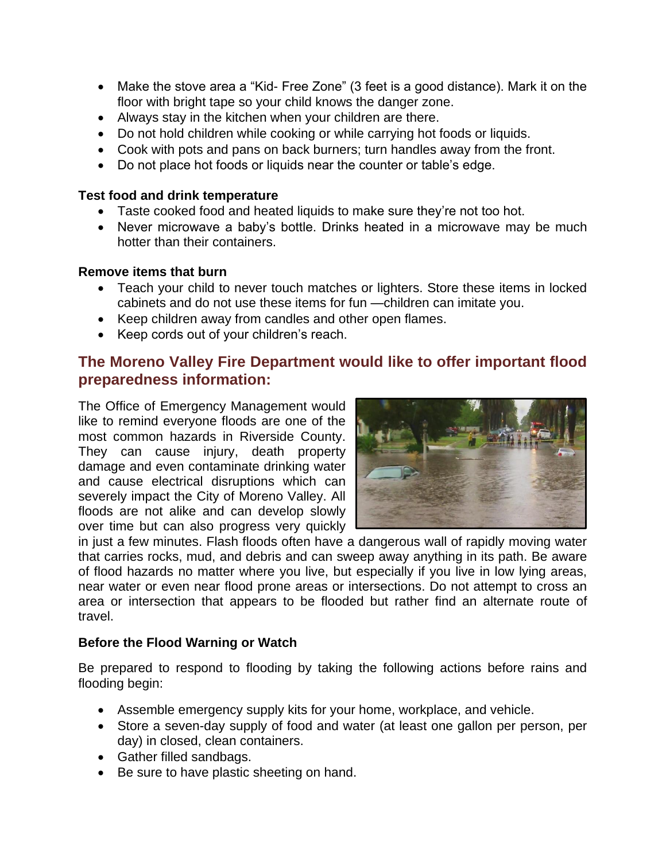- Make the stove area a "Kid- Free Zone" (3 feet is a good distance). Mark it on the floor with bright tape so your child knows the danger zone.
- Always stay in the kitchen when your children are there.
- Do not hold children while cooking or while carrying hot foods or liquids.
- Cook with pots and pans on back burners; turn handles away from the front.
- Do not place hot foods or liquids near the counter or table's edge.

#### **Test food and drink temperature**

- Taste cooked food and heated liquids to make sure they're not too hot.
- Never microwave a baby's bottle. Drinks heated in a microwave may be much hotter than their containers.

#### **Remove items that burn**

- Teach your child to never touch matches or lighters. Store these items in locked cabinets and do not use these items for fun —children can imitate you.
- Keep children away from candles and other open flames.
- Keep cords out of your children's reach.

# **The Moreno Valley Fire Department would like to offer important flood preparedness information:**

The Office of Emergency Management would like to remind everyone floods are one of the most common hazards in Riverside County. They can cause injury, death property damage and even contaminate drinking water and cause electrical disruptions which can severely impact the City of Moreno Valley. All floods are not alike and can develop slowly over time but can also progress very quickly



in just a few minutes. Flash floods often have a dangerous wall of rapidly moving water that carries rocks, mud, and debris and can sweep away anything in its path. Be aware of flood hazards no matter where you live, but especially if you live in low lying areas, near water or even near flood prone areas or intersections. Do not attempt to cross an area or intersection that appears to be flooded but rather find an alternate route of travel.

#### **Before the Flood Warning or Watch**

Be prepared to respond to flooding by taking the following actions before rains and flooding begin:

- Assemble emergency supply kits for your home, workplace, and vehicle.
- Store a seven-day supply of food and water (at least one gallon per person, per day) in closed, clean containers.
- Gather filled sandbags.
- Be sure to have plastic sheeting on hand.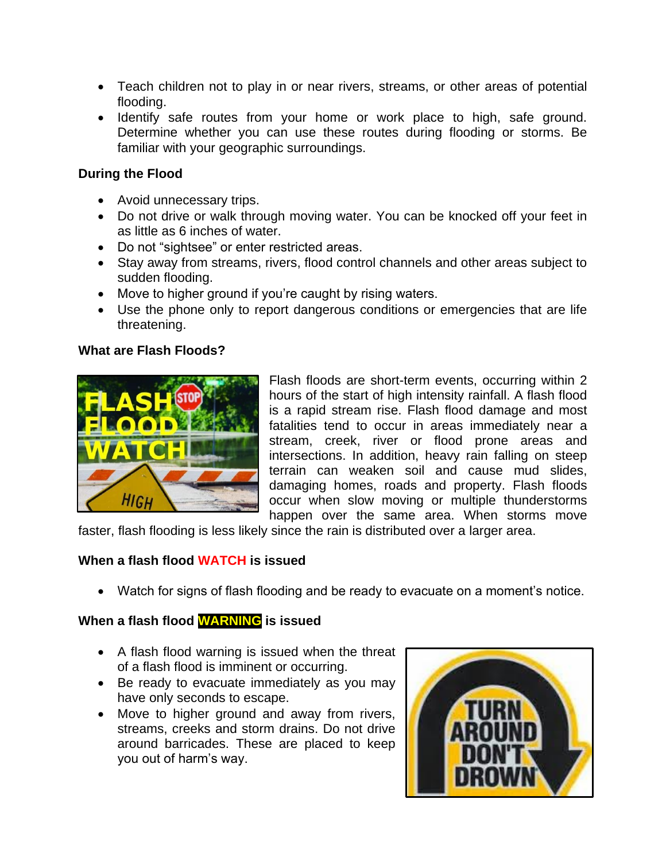- Teach children not to play in or near rivers, streams, or other areas of potential flooding.
- Identify safe routes from your home or work place to high, safe ground. Determine whether you can use these routes during flooding or storms. Be familiar with your geographic surroundings.

## **During the Flood**

- Avoid unnecessary trips.
- Do not drive or walk through moving water. You can be knocked off your feet in as little as 6 inches of water.
- Do not "sightsee" or enter restricted areas.
- Stay away from streams, rivers, flood control channels and other areas subject to sudden flooding.
- Move to higher ground if you're caught by rising waters.
- Use the phone only to report dangerous conditions or emergencies that are life threatening.

## **What are Flash Floods?**



Flash floods are short-term events, occurring within 2 hours of the start of high intensity rainfall. A flash flood is a rapid stream rise. Flash flood damage and most fatalities tend to occur in areas immediately near a stream, creek, river or flood prone areas and intersections. In addition, heavy rain falling on steep terrain can weaken soil and cause mud slides, damaging homes, roads and property. Flash floods occur when slow moving or multiple thunderstorms happen over the same area. When storms move

faster, flash flooding is less likely since the rain is distributed over a larger area.

## **When a flash flood WATCH is issued**

Watch for signs of flash flooding and be ready to evacuate on a moment's notice.

# **When a flash flood WARNING is issued**

- A flash flood warning is issued when the threat of a flash flood is imminent or occurring.
- Be ready to evacuate immediately as you may have only seconds to escape.
- Move to higher ground and away from rivers, streams, creeks and storm drains. Do not drive around barricades. These are placed to keep you out of harm's way.